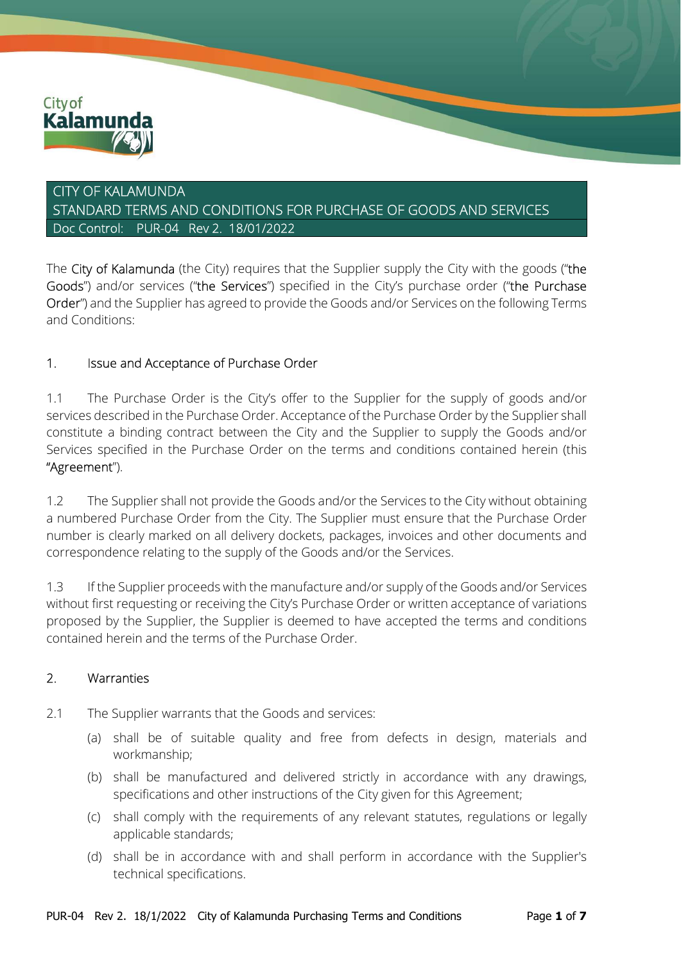

# CITY OF KALAMUNDA STANDARD TERMS AND CONDITIONS FOR PURCHASE OF GOODS AND SERVICES Doc Control: PUR-04 Rev 2. 18/01/2022

The City of Kalamunda (the City) requires that the Supplier supply the City with the goods ("the Goods") and/or services ("the Services") specified in the City's purchase order ("the Purchase Order") and the Supplier has agreed to provide the Goods and/or Services on the following Terms and Conditions:

### 1. Issue and Acceptance of Purchase Order

1.1 The Purchase Order is the City's offer to the Supplier for the supply of goods and/or services described in the Purchase Order. Acceptance of the Purchase Order by the Supplier shall constitute a binding contract between the City and the Supplier to supply the Goods and/or Services specified in the Purchase Order on the terms and conditions contained herein (this "Agreement").

1.2 The Supplier shall not provide the Goods and/or the Services to the City without obtaining a numbered Purchase Order from the City. The Supplier must ensure that the Purchase Order number is clearly marked on all delivery dockets, packages, invoices and other documents and correspondence relating to the supply of the Goods and/or the Services.

1.3 If the Supplier proceeds with the manufacture and/or supply of the Goods and/or Services without first requesting or receiving the City's Purchase Order or written acceptance of variations proposed by the Supplier, the Supplier is deemed to have accepted the terms and conditions contained herein and the terms of the Purchase Order.

#### 2. Warranties

- 2.1 The Supplier warrants that the Goods and services:
	- (a) shall be of suitable quality and free from defects in design, materials and workmanship;
	- (b) shall be manufactured and delivered strictly in accordance with any drawings, specifications and other instructions of the City given for this Agreement;
	- (c) shall comply with the requirements of any relevant statutes, regulations or legally applicable standards;
	- (d) shall be in accordance with and shall perform in accordance with the Supplier's technical specifications.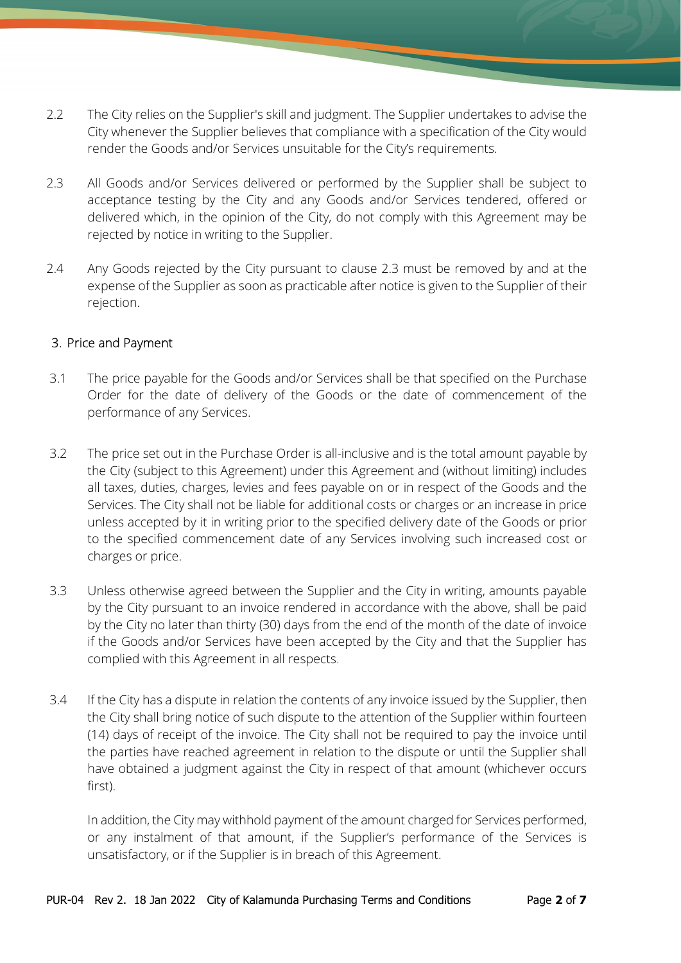- 2.2 The City relies on the Supplier's skill and judgment. The Supplier undertakes to advise the City whenever the Supplier believes that compliance with a specification of the City would render the Goods and/or Services unsuitable for the City's requirements.
- 2.3 All Goods and/or Services delivered or performed by the Supplier shall be subject to acceptance testing by the City and any Goods and/or Services tendered, offered or delivered which, in the opinion of the City, do not comply with this Agreement may be rejected by notice in writing to the Supplier.
- 2.4 Any Goods rejected by the City pursuant to clause 2.3 must be removed by and at the expense of the Supplier as soon as practicable after notice is given to the Supplier of their rejection.

#### 3. Price and Payment

- 3.1 The price payable for the Goods and/or Services shall be that specified on the Purchase Order for the date of delivery of the Goods or the date of commencement of the performance of any Services.
- 3.2 The price set out in the Purchase Order is all-inclusive and is the total amount payable by the City (subject to this Agreement) under this Agreement and (without limiting) includes all taxes, duties, charges, levies and fees payable on or in respect of the Goods and the Services. The City shall not be liable for additional costs or charges or an increase in price unless accepted by it in writing prior to the specified delivery date of the Goods or prior to the specified commencement date of any Services involving such increased cost or charges or price.
- 3.3 Unless otherwise agreed between the Supplier and the City in writing, amounts payable by the City pursuant to an invoice rendered in accordance with the above, shall be paid by the City no later than thirty (30) days from the end of the month of the date of invoice if the Goods and/or Services have been accepted by the City and that the Supplier has complied with this Agreement in all respects.
- 3.4 If the City has a dispute in relation the contents of any invoice issued by the Supplier, then the City shall bring notice of such dispute to the attention of the Supplier within fourteen (14) days of receipt of the invoice. The City shall not be required to pay the invoice until the parties have reached agreement in relation to the dispute or until the Supplier shall have obtained a judgment against the City in respect of that amount (whichever occurs first).

In addition, the City may withhold payment of the amount charged for Services performed, or any instalment of that amount, if the Supplier's performance of the Services is unsatisfactory, or if the Supplier is in breach of this Agreement.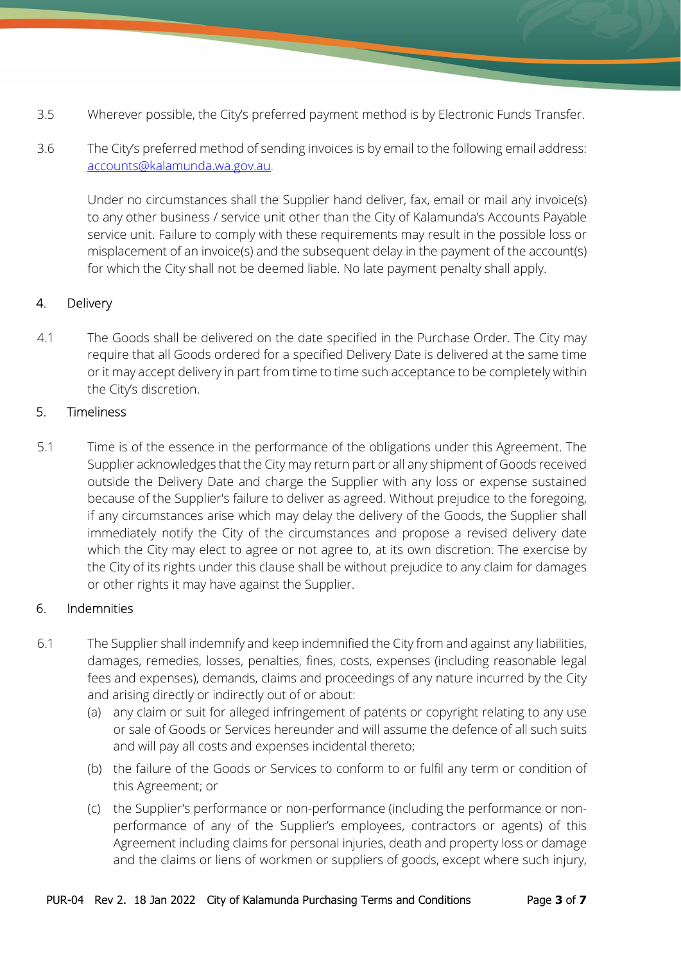- 3.5 Wherever possible, the City's preferred payment method is by Electronic Funds Transfer.
- 3.6 The City's preferred method of sending invoices is by email to the following email address: accounts@kalamunda.wa.gov.au.

Under no circumstances shall the Supplier hand deliver, fax, email or mail any invoice(s) to any other business / service unit other than the City of Kalamunda's Accounts Payable service unit. Failure to comply with these requirements may result in the possible loss or misplacement of an invoice(s) and the subsequent delay in the payment of the account(s) for which the City shall not be deemed liable. No late payment penalty shall apply.

## 4. Delivery

4.1 The Goods shall be delivered on the date specified in the Purchase Order. The City may require that all Goods ordered for a specified Delivery Date is delivered at the same time or it may accept delivery in part from time to time such acceptance to be completely within the City's discretion.

### 5. Timeliness

5.1 Time is of the essence in the performance of the obligations under this Agreement. The Supplier acknowledges that the City may return part or all any shipment of Goods received outside the Delivery Date and charge the Supplier with any loss or expense sustained because of the Supplier's failure to deliver as agreed. Without prejudice to the foregoing, if any circumstances arise which may delay the delivery of the Goods, the Supplier shall immediately notify the City of the circumstances and propose a revised delivery date which the City may elect to agree or not agree to, at its own discretion. The exercise by the City of its rights under this clause shall be without prejudice to any claim for damages or other rights it may have against the Supplier.

## 6. Indemnities

- 6.1 The Supplier shall indemnify and keep indemnified the City from and against any liabilities, damages, remedies, losses, penalties, fines, costs, expenses (including reasonable legal fees and expenses), demands, claims and proceedings of any nature incurred by the City and arising directly or indirectly out of or about:
	- (a) any claim or suit for alleged infringement of patents or copyright relating to any use or sale of Goods or Services hereunder and will assume the defence of all such suits and will pay all costs and expenses incidental thereto;
	- (b) the failure of the Goods or Services to conform to or fulfil any term or condition of this Agreement; or
	- (c) the Supplier's performance or non-performance (including the performance or nonperformance of any of the Supplier's employees, contractors or agents) of this Agreement including claims for personal injuries, death and property loss or damage and the claims or liens of workmen or suppliers of goods, except where such injury,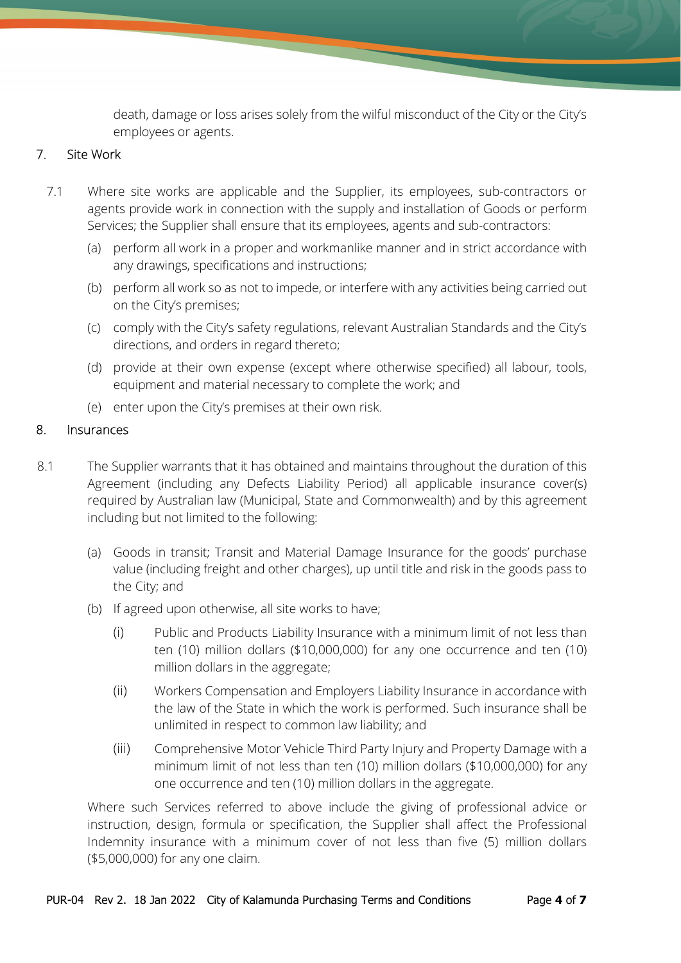death, damage or loss arises solely from the wilful misconduct of the City or the City's employees or agents.

#### 7. Site Work

- 7.1 Where site works are applicable and the Supplier, its employees, sub-contractors or agents provide work in connection with the supply and installation of Goods or perform Services; the Supplier shall ensure that its employees, agents and sub-contractors:
	- (a) perform all work in a proper and workmanlike manner and in strict accordance with any drawings, specifications and instructions;
	- (b) perform all work so as not to impede, or interfere with any activities being carried out on the City's premises;
	- (c) comply with the City's safety regulations, relevant Australian Standards and the City's directions, and orders in regard thereto;
	- (d) provide at their own expense (except where otherwise specified) all labour, tools, equipment and material necessary to complete the work; and
	- (e) enter upon the City's premises at their own risk.

### 8. Insurances

- 8.1 The Supplier warrants that it has obtained and maintains throughout the duration of this Agreement (including any Defects Liability Period) all applicable insurance cover(s) required by Australian law (Municipal, State and Commonwealth) and by this agreement including but not limited to the following:
	- (a) Goods in transit; Transit and Material Damage Insurance for the goods' purchase value (including freight and other charges), up until title and risk in the goods pass to the City; and
	- (b) If agreed upon otherwise, all site works to have;
		- (i) Public and Products Liability Insurance with a minimum limit of not less than ten (10) million dollars (\$10,000,000) for any one occurrence and ten (10) million dollars in the aggregate;
		- (ii) Workers Compensation and Employers Liability Insurance in accordance with the law of the State in which the work is performed. Such insurance shall be unlimited in respect to common law liability; and
		- (iii) Comprehensive Motor Vehicle Third Party Injury and Property Damage with a minimum limit of not less than ten (10) million dollars (\$10,000,000) for any one occurrence and ten (10) million dollars in the aggregate.

Where such Services referred to above include the giving of professional advice or instruction, design, formula or specification, the Supplier shall affect the Professional Indemnity insurance with a minimum cover of not less than five (5) million dollars (\$5,000,000) for any one claim.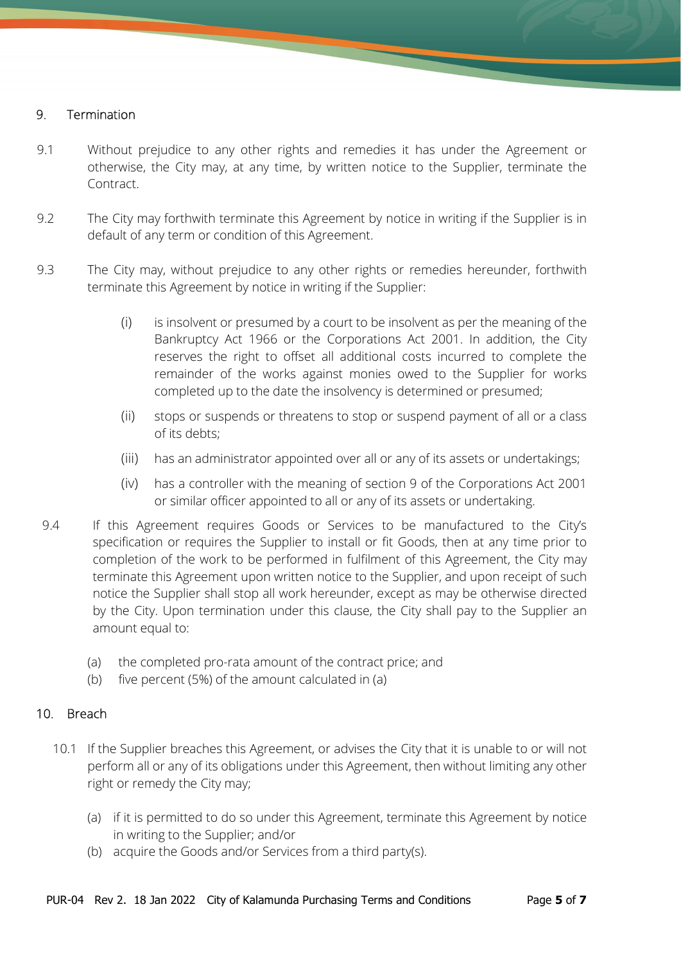#### 9. Termination

- 9.1 Without prejudice to any other rights and remedies it has under the Agreement or otherwise, the City may, at any time, by written notice to the Supplier, terminate the Contract.
- 9.2 The City may forthwith terminate this Agreement by notice in writing if the Supplier is in default of any term or condition of this Agreement.
- 9.3 The City may, without prejudice to any other rights or remedies hereunder, forthwith terminate this Agreement by notice in writing if the Supplier:
	- (i) is insolvent or presumed by a court to be insolvent as per the meaning of the Bankruptcy Act 1966 or the Corporations Act 2001. In addition, the City reserves the right to offset all additional costs incurred to complete the remainder of the works against monies owed to the Supplier for works completed up to the date the insolvency is determined or presumed;
	- (ii) stops or suspends or threatens to stop or suspend payment of all or a class of its debts;
	- (iii) has an administrator appointed over all or any of its assets or undertakings;
	- (iv) has a controller with the meaning of section 9 of the Corporations Act 2001 or similar officer appointed to all or any of its assets or undertaking.
- 9.4 If this Agreement requires Goods or Services to be manufactured to the City's specification or requires the Supplier to install or fit Goods, then at any time prior to completion of the work to be performed in fulfilment of this Agreement, the City may terminate this Agreement upon written notice to the Supplier, and upon receipt of such notice the Supplier shall stop all work hereunder, except as may be otherwise directed by the City. Upon termination under this clause, the City shall pay to the Supplier an amount equal to:
	- (a) the completed pro-rata amount of the contract price; and
	- (b) five percent (5%) of the amount calculated in (a)

#### 10. Breach

- 10.1 If the Supplier breaches this Agreement, or advises the City that it is unable to or will not perform all or any of its obligations under this Agreement, then without limiting any other right or remedy the City may;
	- (a) if it is permitted to do so under this Agreement, terminate this Agreement by notice in writing to the Supplier; and/or
	- (b) acquire the Goods and/or Services from a third party(s).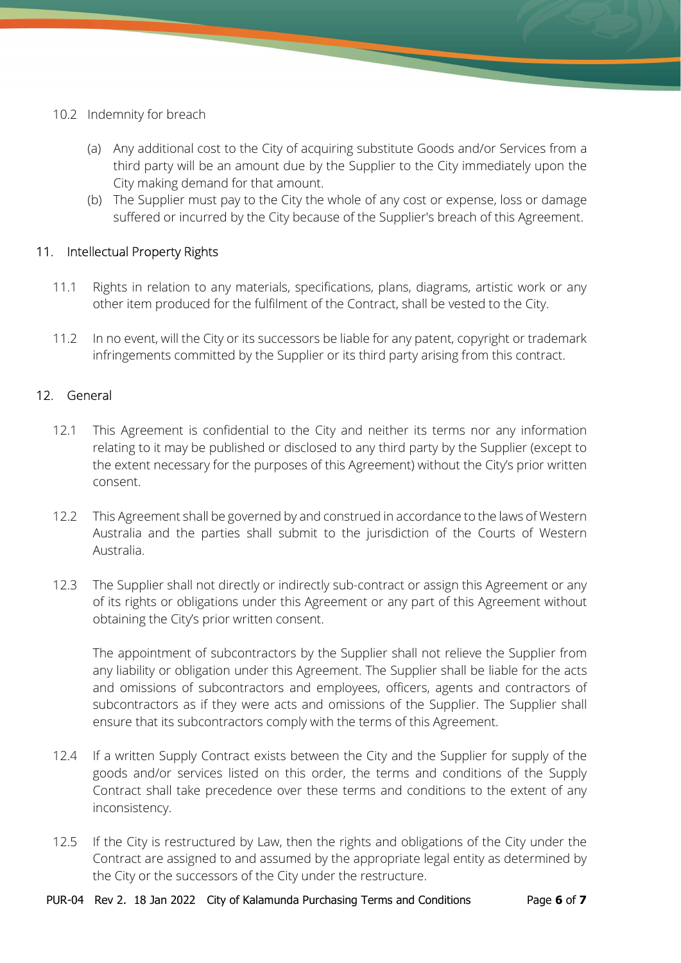- 10.2 Indemnity for breach
	- (a) Any additional cost to the City of acquiring substitute Goods and/or Services from a third party will be an amount due by the Supplier to the City immediately upon the City making demand for that amount.
	- (b) The Supplier must pay to the City the whole of any cost or expense, loss or damage suffered or incurred by the City because of the Supplier's breach of this Agreement.

### 11. Intellectual Property Rights

- 11.1 Rights in relation to any materials, specifications, plans, diagrams, artistic work or any other item produced for the fulfilment of the Contract, shall be vested to the City.
- 11.2 In no event, will the City or its successors be liable for any patent, copyright or trademark infringements committed by the Supplier or its third party arising from this contract.

### 12. General

- 12.1 This Agreement is confidential to the City and neither its terms nor any information relating to it may be published or disclosed to any third party by the Supplier (except to the extent necessary for the purposes of this Agreement) without the City's prior written consent.
- 12.2 This Agreement shall be governed by and construed in accordance to the laws of Western Australia and the parties shall submit to the jurisdiction of the Courts of Western Australia.
- 12.3 The Supplier shall not directly or indirectly sub-contract or assign this Agreement or any of its rights or obligations under this Agreement or any part of this Agreement without obtaining the City's prior written consent.

The appointment of subcontractors by the Supplier shall not relieve the Supplier from any liability or obligation under this Agreement. The Supplier shall be liable for the acts and omissions of subcontractors and employees, officers, agents and contractors of subcontractors as if they were acts and omissions of the Supplier. The Supplier shall ensure that its subcontractors comply with the terms of this Agreement.

- 12.4 If a written Supply Contract exists between the City and the Supplier for supply of the goods and/or services listed on this order, the terms and conditions of the Supply Contract shall take precedence over these terms and conditions to the extent of any inconsistency.
- 12.5 If the City is restructured by Law, then the rights and obligations of the City under the Contract are assigned to and assumed by the appropriate legal entity as determined by the City or the successors of the City under the restructure.